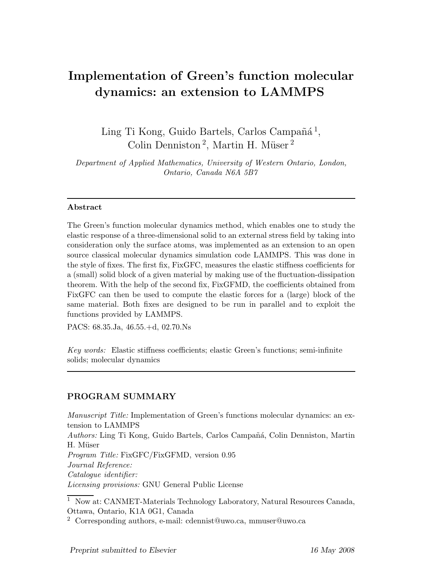# Implementation of Green's function molecular dynamics: an extension to LAMMPS

Ling Ti Kong, Guido Bartels, Carlos Campañá<sup>1</sup>, Colin Denniston<sup>2</sup>, Martin H. Müser<sup>2</sup>

Department of Applied Mathematics, University of Western Ontario, London, Ontario, Canada N6A 5B7

#### Abstract

The Green's function molecular dynamics method, which enables one to study the elastic response of a three-dimensional solid to an external stress field by taking into consideration only the surface atoms, was implemented as an extension to an open source classical molecular dynamics simulation code LAMMPS. This was done in the style of fixes. The first fix, FixGFC, measures the elastic stiffness coefficients for a (small) solid block of a given material by making use of the fluctuation-dissipation theorem. With the help of the second fix, FixGFMD, the coefficients obtained from FixGFC can then be used to compute the elastic forces for a (large) block of the same material. Both fixes are designed to be run in parallel and to exploit the functions provided by LAMMPS.

PACS: 68.35.Ja, 46.55.+d, 02.70.Ns

Key words: Elastic stiffness coefficients; elastic Green's functions; semi-infinite solids; molecular dynamics

## PROGRAM SUMMARY

Manuscript Title: Implementation of Green's functions molecular dynamics: an extension to LAMMPS Authors: Ling Ti Kong, Guido Bartels, Carlos Campañá, Colin Denniston, Martin H. Müser Program Title: FixGFC/FixGFMD, version 0.95 Journal Reference: Catalogue identifier: Licensing provisions: GNU General Public License

<sup>1</sup> Now at: CANMET-Materials Technology Laboratory, Natural Resources Canada, Ottawa, Ontario, K1A 0G1, Canada

<sup>2</sup> Corresponding authors, e-mail: cdennist@uwo.ca, mmuser@uwo.ca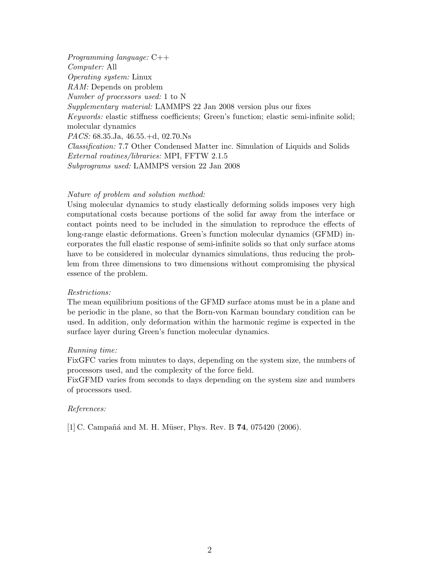Programming language: C++ Computer: All Operating system: Linux RAM: Depends on problem Number of processors used: 1 to N Supplementary material: LAMMPS 22 Jan 2008 version plus our fixes Keywords: elastic stiffness coefficients; Green's function; elastic semi-infinite solid; molecular dynamics PACS: 68.35.Ja, 46.55.+d, 02.70.Ns Classification: 7.7 Other Condensed Matter inc. Simulation of Liquids and Solids External routines/libraries: MPI, FFTW 2.1.5 Subprograms used: LAMMPS version 22 Jan 2008

## Nature of problem and solution method:

Using molecular dynamics to study elastically deforming solids imposes very high computational costs because portions of the solid far away from the interface or contact points need to be included in the simulation to reproduce the effects of long-range elastic deformations. Green's function molecular dynamics (GFMD) incorporates the full elastic response of semi-infinite solids so that only surface atoms have to be considered in molecular dynamics simulations, thus reducing the problem from three dimensions to two dimensions without compromising the physical essence of the problem.

### Restrictions:

The mean equilibrium positions of the GFMD surface atoms must be in a plane and be periodic in the plane, so that the Born-von Karman boundary condition can be used. In addition, only deformation within the harmonic regime is expected in the surface layer during Green's function molecular dynamics.

#### Running time:

FixGFC varies from minutes to days, depending on the system size, the numbers of processors used, and the complexity of the force field.

FixGFMD varies from seconds to days depending on the system size and numbers of processors used.

## References:

[1] C. Campañá and M. H. Müser, Phys. Rev. B  $74$ , 075420 (2006).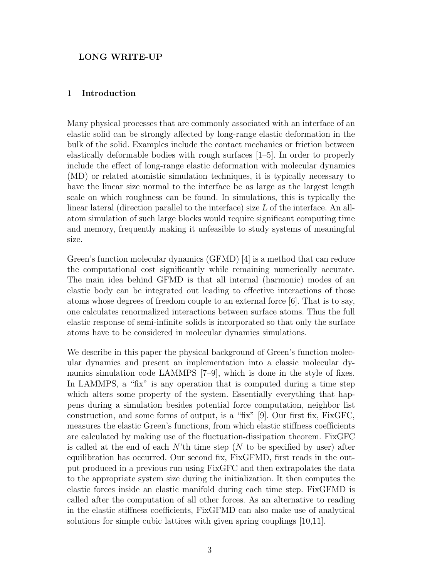## LONG WRITE-UP

#### 1 Introduction

Many physical processes that are commonly associated with an interface of an elastic solid can be strongly affected by long-range elastic deformation in the bulk of the solid. Examples include the contact mechanics or friction between elastically deformable bodies with rough surfaces [1–5]. In order to properly include the effect of long-range elastic deformation with molecular dynamics (MD) or related atomistic simulation techniques, it is typically necessary to have the linear size normal to the interface be as large as the largest length scale on which roughness can be found. In simulations, this is typically the linear lateral (direction parallel to the interface) size L of the interface. An allatom simulation of such large blocks would require significant computing time and memory, frequently making it unfeasible to study systems of meaningful size.

Green's function molecular dynamics (GFMD) [4] is a method that can reduce the computational cost significantly while remaining numerically accurate. The main idea behind GFMD is that all internal (harmonic) modes of an elastic body can be integrated out leading to effective interactions of those atoms whose degrees of freedom couple to an external force [6]. That is to say, one calculates renormalized interactions between surface atoms. Thus the full elastic response of semi-infinite solids is incorporated so that only the surface atoms have to be considered in molecular dynamics simulations.

We describe in this paper the physical background of Green's function molecular dynamics and present an implementation into a classic molecular dynamics simulation code LAMMPS [7–9], which is done in the style of fixes. In LAMMPS, a "fix" is any operation that is computed during a time step which alters some property of the system. Essentially everything that happens during a simulation besides potential force computation, neighbor list construction, and some forms of output, is a "fix" [9]. Our first fix, FixGFC, measures the elastic Green's functions, from which elastic stiffness coefficients are calculated by making use of the fluctuation-dissipation theorem. FixGFC is called at the end of each  $N'$ th time step (N to be specified by user) after equilibration has occurred. Our second fix, FixGFMD, first reads in the output produced in a previous run using FixGFC and then extrapolates the data to the appropriate system size during the initialization. It then computes the elastic forces inside an elastic manifold during each time step. FixGFMD is called after the computation of all other forces. As an alternative to reading in the elastic stiffness coefficients, FixGFMD can also make use of analytical solutions for simple cubic lattices with given spring couplings [10,11].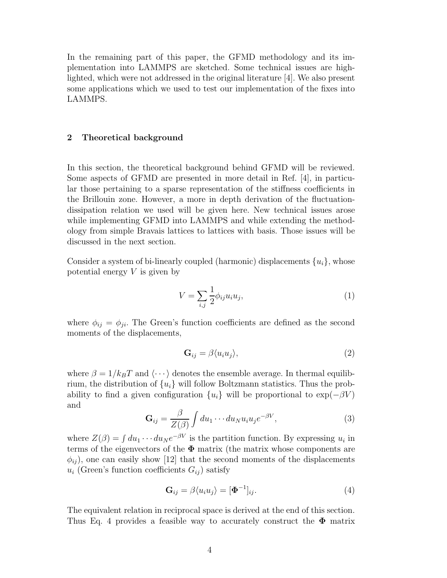In the remaining part of this paper, the GFMD methodology and its implementation into LAMMPS are sketched. Some technical issues are highlighted, which were not addressed in the original literature [4]. We also present some applications which we used to test our implementation of the fixes into LAMMPS.

#### 2 Theoretical background

In this section, the theoretical background behind GFMD will be reviewed. Some aspects of GFMD are presented in more detail in Ref. [4], in particular those pertaining to a sparse representation of the stiffness coefficients in the Brillouin zone. However, a more in depth derivation of the fluctuationdissipation relation we used will be given here. New technical issues arose while implementing GFMD into LAMMPS and while extending the methodology from simple Bravais lattices to lattices with basis. Those issues will be discussed in the next section.

Consider a system of bi-linearly coupled (harmonic) displacements  $\{u_i\}$ , whose potential energy  $V$  is given by

$$
V = \sum_{i,j} \frac{1}{2} \phi_{ij} u_i u_j,\tag{1}
$$

where  $\phi_{ij} = \phi_{ji}$ . The Green's function coefficients are defined as the second moments of the displacements,

$$
\mathbf{G}_{ij} = \beta \langle u_i u_j \rangle, \tag{2}
$$

where  $\beta = 1/k_B T$  and  $\langle \cdots \rangle$  denotes the ensemble average. In thermal equilibrium, the distribution of  $\{u_i\}$  will follow Boltzmann statistics. Thus the probability to find a given configuration  $\{u_i\}$  will be proportional to  $\exp(-\beta V)$ and

$$
\mathbf{G}_{ij} = \frac{\beta}{Z(\beta)} \int du_1 \cdots du_N u_i u_j e^{-\beta V}, \tag{3}
$$

where  $Z(\beta) = \int du_1 \cdots du_N e^{-\beta V}$  is the partition function. By expressing  $u_i$  in terms of the eigenvectors of the  $\Phi$  matrix (the matrix whose components are  $\phi_{ij}$ , one can easily show [12] that the second moments of the displacements  $u_i$  (Green's function coefficients  $G_{ij}$ ) satisfy

$$
\mathbf{G}_{ij} = \beta \langle u_i u_j \rangle = [\mathbf{\Phi}^{-1}]_{ij}.
$$
 (4)

The equivalent relation in reciprocal space is derived at the end of this section. Thus Eq. 4 provides a feasible way to accurately construct the  $\Phi$  matrix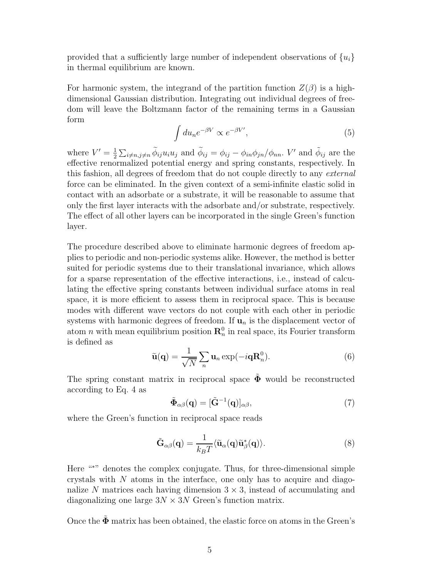provided that a sufficiently large number of independent observations of  $\{u_i\}$ in thermal equilibrium are known.

For harmonic system, the integrand of the partition function  $Z(\beta)$  is a highdimensional Gaussian distribution. Integrating out individual degrees of freedom will leave the Boltzmann factor of the remaining terms in a Gaussian form

$$
\int du_n e^{-\beta V} \propto e^{-\beta V'},\tag{5}
$$

where  $V'=\frac{1}{2}$  $\frac{1}{2} \sum_{i \neq n, j \neq n} \tilde{\phi}_{ij} u_i u_j$  and  $\tilde{\phi}_{ij} = \phi_{ij} - \phi_{in} \phi_{jn} / \phi_{nn}$ . V' and  $\tilde{\phi}_{ij}$  are the effective renormalized potential energy and spring constants, respectively. In this fashion, all degrees of freedom that do not couple directly to any external force can be eliminated. In the given context of a semi-infinite elastic solid in contact with an adsorbate or a substrate, it will be reasonable to assume that only the first layer interacts with the adsorbate and/or substrate, respectively. The effect of all other layers can be incorporated in the single Green's function layer.

The procedure described above to eliminate harmonic degrees of freedom applies to periodic and non-periodic systems alike. However, the method is better suited for periodic systems due to their translational invariance, which allows for a sparse representation of the effective interactions, i.e., instead of calculating the effective spring constants between individual surface atoms in real space, it is more efficient to assess them in reciprocal space. This is because modes with different wave vectors do not couple with each other in periodic systems with harmonic degrees of freedom. If  $\mathbf{u}_n$  is the displacement vector of atom *n* with mean equilibrium position  $\mathbf{R}_n^0$  in real space, its Fourier transform is defined as

$$
\widetilde{\mathbf{u}}(\mathbf{q}) = \frac{1}{\sqrt{N}} \sum_{n} \mathbf{u}_{n} \exp(-i\mathbf{q} \mathbf{R}_{n}^{0}).
$$
\n(6)

The spring constant matrix in reciprocal space  $\tilde{\Phi}$  would be reconstructed according to Eq. 4 as

$$
\tilde{\Phi}_{\alpha\beta}(\mathbf{q}) = [\tilde{\mathbf{G}}^{-1}(\mathbf{q})]_{\alpha\beta},\tag{7}
$$

where the Green's function in reciprocal space reads

$$
\tilde{\mathbf{G}}_{\alpha\beta}(\mathbf{q}) = \frac{1}{k_B T} \langle \tilde{\mathbf{u}}_{\alpha}(\mathbf{q}) \tilde{\mathbf{u}}_{\beta}^*(\mathbf{q}) \rangle. \tag{8}
$$

Here "<sup>\*\*</sup>" denotes the complex conjugate. Thus, for three-dimensional simple crystals with  $N$  atoms in the interface, one only has to acquire and diagonalize N matrices each having dimension  $3 \times 3$ , instead of accumulating and diagonalizing one large  $3N \times 3N$  Green's function matrix.

Once the  $\tilde{\Phi}$  matrix has been obtained, the elastic force on atoms in the Green's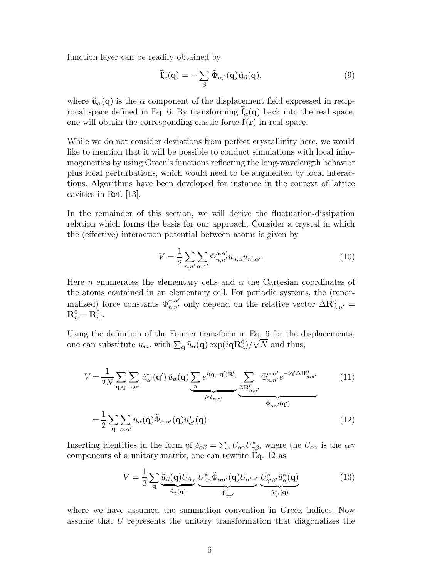function layer can be readily obtained by

$$
\widetilde{\mathbf{f}}_{\alpha}(\mathbf{q}) = -\sum_{\beta} \widetilde{\mathbf{\Phi}}_{\alpha\beta}(\mathbf{q}) \widetilde{\mathbf{u}}_{\beta}(\mathbf{q}), \qquad (9)
$$

where  $\tilde{\mathbf{u}}_{\alpha}(\mathbf{q})$  is the  $\alpha$  component of the displacement field expressed in reciprocal space defined in Eq. 6. By transforming  $f_{\alpha}(q)$  back into the real space, one will obtain the corresponding elastic force  $f(r)$  in real space.

While we do not consider deviations from perfect crystallinity here, we would like to mention that it will be possible to conduct simulations with local inhomogeneities by using Green's functions reflecting the long-wavelength behavior plus local perturbations, which would need to be augmented by local interactions. Algorithms have been developed for instance in the context of lattice cavities in Ref. [13].

In the remainder of this section, we will derive the fluctuation-dissipation relation which forms the basis for our approach. Consider a crystal in which the (effective) interaction potential between atoms is given by

$$
V = \frac{1}{2} \sum_{n,n'} \sum_{\alpha,\alpha'} \Phi_{n,n'}^{\alpha,\alpha'} u_{n,\alpha} u_{n',\alpha'}.
$$
 (10)

Here *n* enumerates the elementary cells and  $\alpha$  the Cartesian coordinates of the atoms contained in an elementary cell. For periodic systems, the (renormalized) force constants  $\Phi_{n,n'}^{\alpha,\alpha'}$  only depend on the relative vector  $\Delta \mathbf{R}_{n,n'}^0 =$  $\mathbf{R}^0_n - \mathbf{R}^0_{n^\prime}.$ 

Using the definition of the Fourier transform in Eq. 6 for the displacements, one can substitute  $u_{n\alpha}$  with  $\sum_{\mathbf{q}} \tilde{u}_{\alpha}(\mathbf{q}) \exp(i\mathbf{q}\mathbf{R}_n^0)/\sqrt{N}$  and thus,

$$
V = \frac{1}{2N} \sum_{\mathbf{q}, \mathbf{q'} \alpha, \alpha'} \tilde{u}_{\alpha'}^* (\mathbf{q'}) \tilde{u}_{\alpha} (\mathbf{q}) \underbrace{\sum_{n} e^{i(\mathbf{q} - \mathbf{q'}) \mathbf{R}_n^0}}_{N \delta_{\mathbf{q}, \mathbf{q'}}} \underbrace{\sum_{n} \Phi_{n, n'}^{\alpha, \alpha'} e^{-i\mathbf{q'} \Delta \mathbf{R}_{n, n'}^0}}_{\tilde{\Phi}_{\alpha \alpha'} (\mathbf{q'})}
$$
(11)  

$$
= \frac{1}{2} \sum_{\mathbf{q}} \sum_{\alpha, \alpha'} \tilde{u}_{\alpha} (\mathbf{q}) \tilde{\Phi}_{\alpha, \alpha'} (\mathbf{q}) \tilde{u}_{\alpha'}^* (\mathbf{q}).
$$
(12)

Inserting identities in the form of  $\delta_{\alpha\beta} = \sum_{\gamma} U_{\alpha\gamma} U_{\gamma\beta}^*$ , where the  $U_{\alpha\gamma}$  is the  $\alpha\gamma$ components of a unitary matrix, one can rewrite Eq. 12 as

$$
V = \frac{1}{2} \sum_{\mathbf{q}} \underbrace{\tilde{u}_{\beta}(\mathbf{q}) U_{\beta\gamma}}_{\hat{u}_{\gamma}(\mathbf{q})} \underbrace{U_{\gamma\alpha}^{*} \tilde{\Phi}_{\alpha\alpha'}(\mathbf{q}) U_{\alpha'\gamma'}}_{\hat{\Phi}_{\gamma\gamma'}} \underbrace{U_{\gamma'\beta'}^{*} \tilde{u}_{\alpha}^{*}(\mathbf{q})}_{\hat{u}_{\gamma'}^{*}(\mathbf{q})}
$$
(13)

where we have assumed the summation convention in Greek indices. Now assume that U represents the unitary transformation that diagonalizes the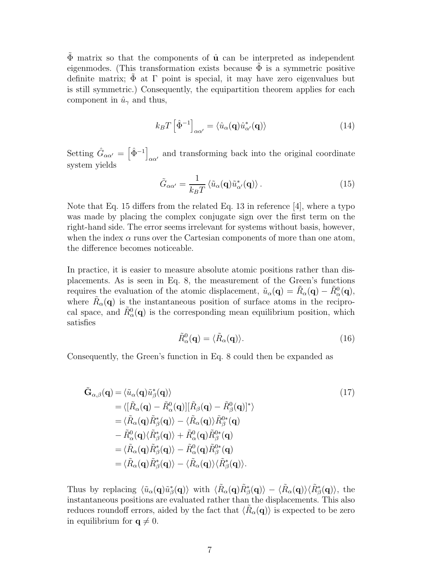$\Phi$  matrix so that the components of  $\hat{u}$  can be interpreted as independent eigenmodes. (This transformation exists because  $\Phi$  is a symmetric positive definite matrix;  $\Phi$  at  $\Gamma$  point is special, it may have zero eigenvalues but is still symmetric.) Consequently, the equipartition theorem applies for each component in  $\hat{u}_{\gamma}$  and thus,

$$
k_B T \left[ \hat{\Phi}^{-1} \right]_{\alpha \alpha'} = \langle \hat{u}_{\alpha} (\mathbf{q}) \hat{u}_{\alpha'}^* (\mathbf{q}) \rangle \tag{14}
$$

Setting  $\hat{G}_{\alpha\alpha'} = \left[\hat{\Phi}^{-1}\right]$  $\alpha$ <sup>'</sup> and transforming back into the original coordinate system yields

$$
\tilde{G}_{\alpha\alpha'} = \frac{1}{k_B T} \left\langle \tilde{u}_{\alpha}(\mathbf{q}) \tilde{u}_{\alpha'}^*(\mathbf{q}) \right\rangle.
$$
 (15)

Note that Eq. 15 differs from the related Eq. 13 in reference [4], where a typo was made by placing the complex conjugate sign over the first term on the right-hand side. The error seems irrelevant for systems without basis, however, when the index  $\alpha$  runs over the Cartesian components of more than one atom, the difference becomes noticeable.

In practice, it is easier to measure absolute atomic positions rather than displacements. As is seen in Eq. 8, the measurement of the Green's functions requires the evaluation of the atomic displacement,  $\tilde{u}_{\alpha}(\mathbf{q}) = \tilde{R}_{\alpha}(\mathbf{q}) - \tilde{R}_{\alpha}^{0}(\mathbf{q}),$ where  $\tilde{R}_{\alpha}(\mathbf{q})$  is the instantaneous position of surface atoms in the reciprocal space, and  $\tilde{R}^0_\alpha(\mathbf{q})$  is the corresponding mean equilibrium position, which satisfies

$$
\tilde{R}^0_\alpha(\mathbf{q}) = \langle \tilde{R}_\alpha(\mathbf{q}) \rangle.
$$
 (16)

Consequently, the Green's function in Eq. 8 could then be expanded as

$$
\tilde{\mathbf{G}}_{\alpha,\beta}(\mathbf{q}) = \langle \tilde{u}_{\alpha}(\mathbf{q})\tilde{u}_{\beta}^{*}(\mathbf{q}) \rangle \n= \langle [\tilde{R}_{\alpha}(\mathbf{q}) - \tilde{R}_{\alpha}^{0}(\mathbf{q})] | [\tilde{R}_{\beta}(\mathbf{q}) - \tilde{R}_{\beta}^{0}(\mathbf{q})]^{*} \rangle \n= \langle \tilde{R}_{\alpha}(\mathbf{q})\tilde{R}_{\beta}^{*}(\mathbf{q}) \rangle - \langle \tilde{R}_{\alpha}(\mathbf{q}) \rangle \tilde{R}_{\beta}^{0*}(\mathbf{q}) \n- \tilde{R}_{\alpha}^{0}(\mathbf{q}) \langle \tilde{R}_{\beta}^{*}(\mathbf{q}) \rangle + \tilde{R}_{\alpha}^{0}(\mathbf{q})\tilde{R}_{\beta}^{0*}(\mathbf{q}) \n= \langle \tilde{R}_{\alpha}(\mathbf{q})\tilde{R}_{\beta}^{*}(\mathbf{q}) \rangle - \tilde{R}_{\alpha}^{0}(\mathbf{q})\tilde{R}_{\beta}^{0*}(\mathbf{q}) \n= \langle \tilde{R}_{\alpha}(\mathbf{q})\tilde{R}_{\beta}^{*}(\mathbf{q}) \rangle - \langle \tilde{R}_{\alpha}(\mathbf{q}) \rangle \langle \tilde{R}_{\beta}^{*}(\mathbf{q}) \rangle.
$$
\n(17)

Thus by replacing  $\langle \tilde{u}_{\alpha}(\mathbf{q})\tilde{u}_{\beta}^*(\mathbf{q})\rangle$  with  $\langle \tilde{R}_{\alpha}(\mathbf{q})\tilde{R}_{\beta}^*(\mathbf{q})\rangle - \langle \tilde{R}_{\alpha}(\mathbf{q})\rangle \langle \tilde{R}_{\beta}^*(\mathbf{q})\rangle$ , the instantaneous positions are evaluated rather than the displacements. This also reduces roundoff errors, aided by the fact that  $\langle \tilde{R}_{\alpha}(\mathbf{q}) \rangle$  is expected to be zero in equilibrium for  $q \neq 0$ .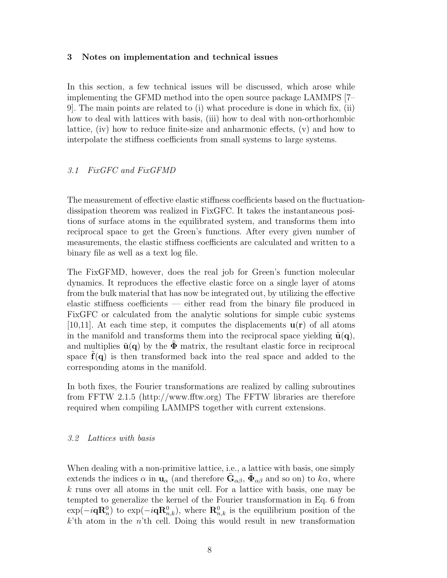#### 3 Notes on implementation and technical issues

In this section, a few technical issues will be discussed, which arose while implementing the GFMD method into the open source package LAMMPS [7– 9]. The main points are related to (i) what procedure is done in which fix, (ii) how to deal with lattices with basis, (iii) how to deal with non-orthorhombic lattice, (iv) how to reduce finite-size and anharmonic effects, (v) and how to interpolate the stiffness coefficients from small systems to large systems.

#### 3.1 FixGFC and FixGFMD

The measurement of effective elastic stiffness coefficients based on the fluctuationdissipation theorem was realized in FixGFC. It takes the instantaneous positions of surface atoms in the equilibrated system, and transforms them into reciprocal space to get the Green's functions. After every given number of measurements, the elastic stiffness coefficients are calculated and written to a binary file as well as a text log file.

The FixGFMD, however, does the real job for Green's function molecular dynamics. It reproduces the effective elastic force on a single layer of atoms from the bulk material that has now be integrated out, by utilizing the effective elastic stiffness coefficients — either read from the binary file produced in FixGFC or calculated from the analytic solutions for simple cubic systems [10,11]. At each time step, it computes the displacements  $\mathbf{u}(\mathbf{r})$  of all atoms in the manifold and transforms them into the reciprocal space yielding  $\tilde{u}(q)$ , and multiplies  $\tilde{u}(q)$  by the  $\tilde{\Phi}$  matrix, the resultant elastic force in reciprocal space  $f(q)$  is then transformed back into the real space and added to the corresponding atoms in the manifold.

In both fixes, the Fourier transformations are realized by calling subroutines from FFTW 2.1.5 (http://www.fftw.org) The FFTW libraries are therefore required when compiling LAMMPS together with current extensions.

#### 3.2 Lattices with basis

When dealing with a non-primitive lattice, i.e., a lattice with basis, one simply extends the indices  $\alpha$  in  $\mathbf{u}_{\alpha}$  (and therefore  $\tilde{\mathbf{G}}_{\alpha\beta}$ ,  $\tilde{\mathbf{\Phi}}_{\alpha\beta}$  and so on) to  $k\alpha$ , where k runs over all atoms in the unit cell. For a lattice with basis, one may be tempted to generalize the kernel of the Fourier transformation in Eq. 6 from  $\exp(-i \mathbf{q} \mathbf{R}_n^0)$  to  $\exp(-i \mathbf{q} \mathbf{R}_{n,k}^0)$ , where  $\mathbf{R}_{n,k}^0$  is the equilibrium position of the  $k<sup>th</sup>$  atom in the n'th cell. Doing this would result in new transformation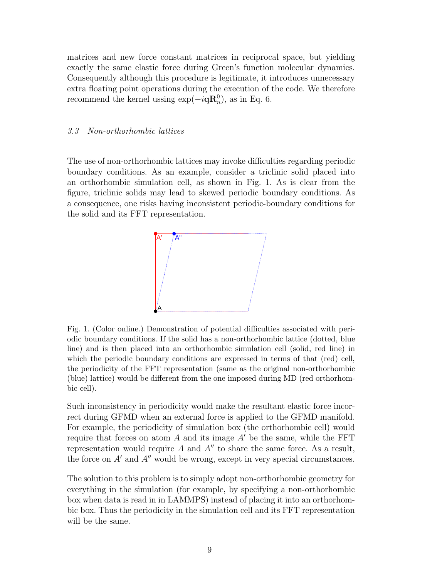matrices and new force constant matrices in reciprocal space, but yielding exactly the same elastic force during Green's function molecular dynamics. Consequently although this procedure is legitimate, it introduces unnecessary extra floating point operations during the execution of the code. We therefore recommend the kernel ussing  $\exp(-i\mathbf{q}\mathbf{R}_n^0)$ , as in Eq. 6.

#### 3.3 Non-orthorhombic lattices

The use of non-orthorhombic lattices may invoke difficulties regarding periodic boundary conditions. As an example, consider a triclinic solid placed into an orthorhombic simulation cell, as shown in Fig. 1. As is clear from the figure, triclinic solids may lead to skewed periodic boundary conditions. As a consequence, one risks having inconsistent periodic-boundary conditions for the solid and its FFT representation.



Fig. 1. (Color online.) Demonstration of potential difficulties associated with periodic boundary conditions. If the solid has a non-orthorhombic lattice (dotted, blue line) and is then placed into an orthorhombic simulation cell (solid, red line) in which the periodic boundary conditions are expressed in terms of that (red) cell, the periodicity of the FFT representation (same as the original non-orthorhombic (blue) lattice) would be different from the one imposed during MD (red orthorhombic cell).

Such inconsistency in periodicity would make the resultant elastic force incorrect during GFMD when an external force is applied to the GFMD manifold. For example, the periodicity of simulation box (the orthorhombic cell) would require that forces on atom A and its image  $A'$  be the same, while the FFT representation would require  $A$  and  $A''$  to share the same force. As a result, the force on  $A'$  and  $A''$  would be wrong, except in very special circumstances.

The solution to this problem is to simply adopt non-orthorhombic geometry for everything in the simulation (for example, by specifying a non-orthorhombic box when data is read in in LAMMPS) instead of placing it into an orthorhombic box. Thus the periodicity in the simulation cell and its FFT representation will be the same.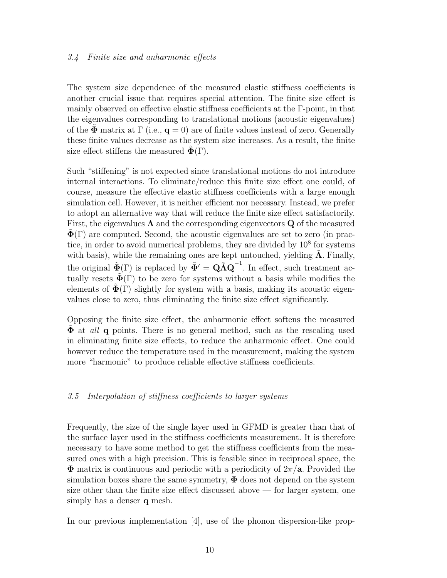#### 3.4 Finite size and anharmonic effects

The system size dependence of the measured elastic stiffness coefficients is another crucial issue that requires special attention. The finite size effect is mainly observed on effective elastic stiffness coefficients at the Γ-point, in that the eigenvalues corresponding to translational motions (acoustic eigenvalues) of the  $\Phi$  matrix at  $\Gamma$  (i.e.,  $\mathbf{q} = 0$ ) are of finite values instead of zero. Generally these finite values decrease as the system size increases. As a result, the finite size effect stiffens the measured  $\Phi(\Gamma)$ .

Such "stiffening" is not expected since translational motions do not introduce internal interactions. To eliminate/reduce this finite size effect one could, of course, measure the effective elastic stiffness coefficients with a large enough simulation cell. However, it is neither efficient nor necessary. Instead, we prefer to adopt an alternative way that will reduce the finite size effect satisfactorily. First, the eigenvalues  $\Lambda$  and the corresponding eigenvectors Q of the measured  $\Phi(\Gamma)$  are computed. Second, the acoustic eigenvalues are set to zero (in practice, in order to avoid numerical problems, they are divided by  $10<sup>8</sup>$  for systems with basis), while the remaining ones are kept untouched, yielding  $\Lambda$ . Finally, the original  $\tilde{\Phi}(\Gamma)$  is replaced by  $\tilde{\Phi}' = \mathbf{Q} \tilde{\Lambda} \mathbf{Q}^{-1}$ . In effect, such treatment actually resets  $\tilde{\Phi}(\Gamma)$  to be zero for systems without a basis while modifies the elements of  $\Phi(\Gamma)$  slightly for system with a basis, making its acoustic eigenvalues close to zero, thus eliminating the finite size effect significantly.

Opposing the finite size effect, the anharmonic effect softens the measured  $\Phi$  at all q points. There is no general method, such as the rescaling used in eliminating finite size effects, to reduce the anharmonic effect. One could however reduce the temperature used in the measurement, making the system more "harmonic" to produce reliable effective stiffness coefficients.

#### 3.5 Interpolation of stiffness coefficients to larger systems

Frequently, the size of the single layer used in GFMD is greater than that of the surface layer used in the stiffness coefficients measurement. It is therefore necessary to have some method to get the stiffness coefficients from the measured ones with a high precision. This is feasible since in reciprocal space, the  $\Phi$  matrix is continuous and periodic with a periodicity of  $2\pi/a$ . Provided the simulation boxes share the same symmetry,  $\Phi$  does not depend on the system size other than the finite size effect discussed above — for larger system, one simply has a denser **q** mesh.

In our previous implementation [4], use of the phonon dispersion-like prop-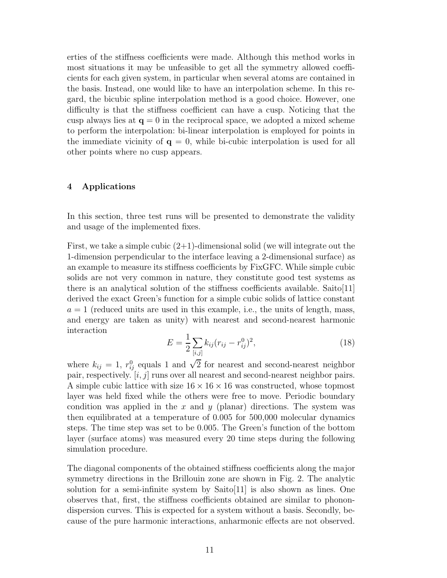erties of the stiffness coefficients were made. Although this method works in most situations it may be unfeasible to get all the symmetry allowed coefficients for each given system, in particular when several atoms are contained in the basis. Instead, one would like to have an interpolation scheme. In this regard, the bicubic spline interpolation method is a good choice. However, one difficulty is that the stiffness coefficient can have a cusp. Noticing that the cusp always lies at  $q = 0$  in the reciprocal space, we adopted a mixed scheme to perform the interpolation: bi-linear interpolation is employed for points in the immediate vicinity of  $q = 0$ , while bi-cubic interpolation is used for all other points where no cusp appears.

## 4 Applications

In this section, three test runs will be presented to demonstrate the validity and usage of the implemented fixes.

First, we take a simple cubic  $(2+1)$ -dimensional solid (we will integrate out the 1-dimension perpendicular to the interface leaving a 2-dimensional surface) as an example to measure its stiffness coefficients by FixGFC. While simple cubic solids are not very common in nature, they constitute good test systems as there is an analytical solution of the stiffness coefficients available. Saito[11] derived the exact Green's function for a simple cubic solids of lattice constant  $a = 1$  (reduced units are used in this example, i.e., the units of length, mass, and energy are taken as unity) with nearest and second-nearest harmonic interaction

$$
E = \frac{1}{2} \sum_{[i,j]} k_{ij} (r_{ij} - r_{ij}^0)^2,
$$
\n(18)

where  $k_{ij} = 1$ ,  $r_{ij}^0$  equals 1 and  $\sqrt{2}$  for nearest and second-nearest neighbor pair, respectively.  $[i, j]$  runs over all nearest and second-nearest neighbor pairs. A simple cubic lattice with size  $16 \times 16 \times 16$  was constructed, whose topmost layer was held fixed while the others were free to move. Periodic boundary condition was applied in the x and y (planar) directions. The system was then equilibrated at a temperature of 0.005 for 500,000 molecular dynamics steps. The time step was set to be 0.005. The Green's function of the bottom layer (surface atoms) was measured every 20 time steps during the following simulation procedure.

The diagonal components of the obtained stiffness coefficients along the major symmetry directions in the Brillouin zone are shown in Fig. 2. The analytic solution for a semi-infinite system by Saito[11] is also shown as lines. One observes that, first, the stiffness coefficients obtained are similar to phonondispersion curves. This is expected for a system without a basis. Secondly, because of the pure harmonic interactions, anharmonic effects are not observed.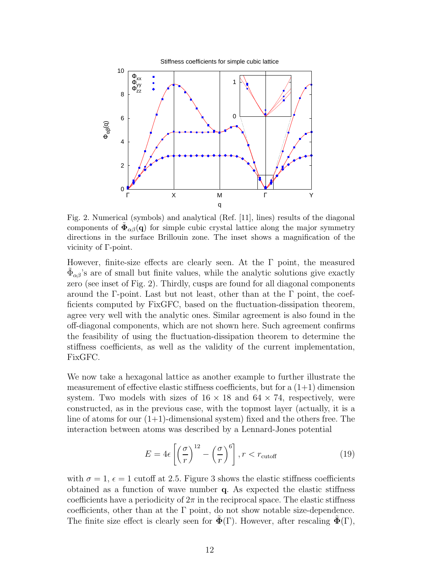

Fig. 2. Numerical (symbols) and analytical (Ref. [11], lines) results of the diagonal components of  $\tilde{\Phi}_{\alpha\beta}(\mathbf{q})$  for simple cubic crystal lattice along the major symmetry directions in the surface Brillouin zone. The inset shows a magnification of the vicinity of Γ-point.

However, finite-size effects are clearly seen. At the  $\Gamma$  point, the measured  $\tilde{\Phi}_{\alpha\beta}$ 's are of small but finite values, while the analytic solutions give exactly zero (see inset of Fig. 2). Thirdly, cusps are found for all diagonal components around the Γ-point. Last but not least, other than at the Γ point, the coefficients computed by FixGFC, based on the fluctuation-dissipation theorem, agree very well with the analytic ones. Similar agreement is also found in the off-diagonal components, which are not shown here. Such agreement confirms the feasibility of using the fluctuation-dissipation theorem to determine the stiffness coefficients, as well as the validity of the current implementation, FixGFC.

We now take a hexagonal lattice as another example to further illustrate the measurement of effective elastic stiffness coefficients, but for a  $(1+1)$  dimension system. Two models with sizes of  $16 \times 18$  and  $64 \times 74$ , respectively, were constructed, as in the previous case, with the topmost layer (actually, it is a line of atoms for our  $(1+1)$ -dimensional system) fixed and the others free. The interaction between atoms was described by a Lennard-Jones potential

$$
E = 4\epsilon \left[ \left(\frac{\sigma}{r}\right)^{12} - \left(\frac{\sigma}{r}\right)^6 \right], r < r_{\text{cutoff}} \tag{19}
$$

with  $\sigma = 1$ ,  $\epsilon = 1$  cutoff at 2.5. Figure 3 shows the elastic stiffness coefficients obtained as a function of wave number q. As expected the elastic stiffness coefficients have a periodicity of  $2\pi$  in the reciprocal space. The elastic stiffness coefficients, other than at the  $\Gamma$  point, do not show notable size-dependence. The finite size effect is clearly seen for  $\Phi(\Gamma)$ . However, after rescaling  $\Phi(\Gamma)$ ,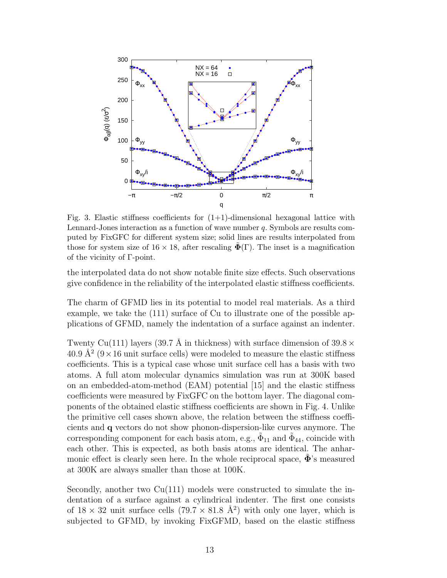

Fig. 3. Elastic stiffness coefficients for  $(1+1)$ -dimensional hexagonal lattice with Lennard-Jones interaction as a function of wave number q. Symbols are results computed by FixGFC for different system size; solid lines are results interpolated from those for system size of  $16 \times 18$ , after rescaling  $\Phi(\Gamma)$ . The inset is a magnification of the vicinity of Γ-point.

the interpolated data do not show notable finite size effects. Such observations give confidence in the reliability of the interpolated elastic stiffness coefficients.

The charm of GFMD lies in its potential to model real materials. As a third example, we take the (111) surface of Cu to illustrate one of the possible applications of GFMD, namely the indentation of a surface against an indenter.

Twenty Cu(111) layers (39.7 Å in thickness) with surface dimension of  $39.8 \times$  $40.9 \text{ Å}^2$  ( $9 \times 16$  unit surface cells) were modeled to measure the elastic stiffness coefficients. This is a typical case whose unit surface cell has a basis with two atoms. A full atom molecular dynamics simulation was run at 300K based on an embedded-atom-method (EAM) potential [15] and the elastic stiffness coefficients were measured by FixGFC on the bottom layer. The diagonal components of the obtained elastic stiffness coefficients are shown in Fig. 4. Unlike the primitive cell cases shown above, the relation between the stiffness coefficients and q vectors do not show phonon-dispersion-like curves anymore. The corresponding component for each basis atom, e.g.,  $\tilde{\Phi}_{11}$  and  $\tilde{\Phi}_{44}$ , coincide with each other. This is expected, as both basis atoms are identical. The anharmonic effect is clearly seen here. In the whole reciprocal space,  $\Phi$ 's measured at 300K are always smaller than those at 100K.

Secondly, another two  $Cu(111)$  models were constructed to simulate the indentation of a surface against a cylindrical indenter. The first one consists of  $18 \times 32$  unit surface cells  $(79.7 \times 81.8 \text{ Å}^2)$  with only one layer, which is subjected to GFMD, by invoking FixGFMD, based on the elastic stiffness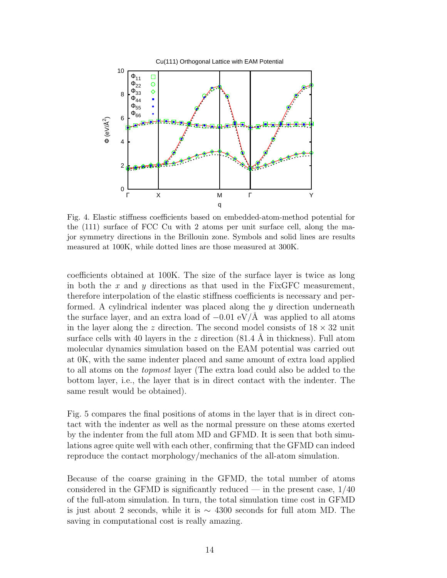

Fig. 4. Elastic stiffness coefficients based on embedded-atom-method potential for the (111) surface of FCC Cu with 2 atoms per unit surface cell, along the major symmetry directions in the Brillouin zone. Symbols and solid lines are results measured at 100K, while dotted lines are those measured at 300K.

coefficients obtained at 100K. The size of the surface layer is twice as long in both the  $x$  and  $y$  directions as that used in the FixGFC measurement, therefore interpolation of the elastic stiffness coefficients is necessary and performed. A cylindrical indenter was placed along the y direction underneath the surface layer, and an extra load of  $-0.01 \text{ eV/A}$  was applied to all atoms in the layer along the z direction. The second model consists of  $18 \times 32$  unit surface cells with 40 layers in the z direction  $(81.4 \text{ Å}$  in thickness). Full atom molecular dynamics simulation based on the EAM potential was carried out at 0K, with the same indenter placed and same amount of extra load applied to all atoms on the topmost layer (The extra load could also be added to the bottom layer, i.e., the layer that is in direct contact with the indenter. The same result would be obtained).

Fig. 5 compares the final positions of atoms in the layer that is in direct contact with the indenter as well as the normal pressure on these atoms exerted by the indenter from the full atom MD and GFMD. It is seen that both simulations agree quite well with each other, confirming that the GFMD can indeed reproduce the contact morphology/mechanics of the all-atom simulation.

Because of the coarse graining in the GFMD, the total number of atoms considered in the GFMD is significantly reduced — in the present case,  $1/40$ of the full-atom simulation. In turn, the total simulation time cost in GFMD is just about 2 seconds, while it is ∼ 4300 seconds for full atom MD. The saving in computational cost is really amazing.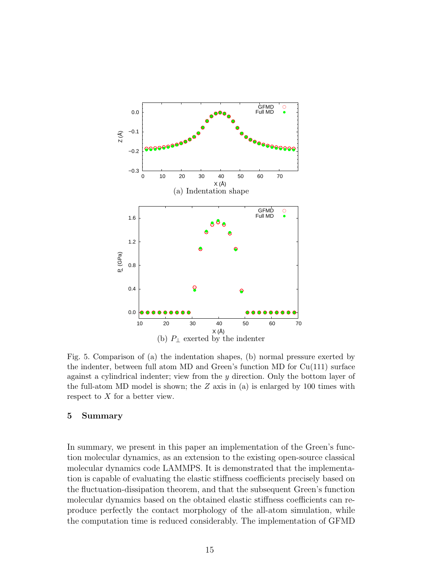

Fig. 5. Comparison of (a) the indentation shapes, (b) normal pressure exerted by the indenter, between full atom MD and Green's function MD for  $Cu(111)$  surface against a cylindrical indenter; view from the  $y$  direction. Only the bottom layer of the full-atom MD model is shown; the  $Z$  axis in (a) is enlarged by 100 times with respect to  $X$  for a better view.

#### 5 Summary

In summary, we present in this paper an implementation of the Green's function molecular dynamics, as an extension to the existing open-source classical molecular dynamics code LAMMPS. It is demonstrated that the implementation is capable of evaluating the elastic stiffness coefficients precisely based on the fluctuation-dissipation theorem, and that the subsequent Green's function molecular dynamics based on the obtained elastic stiffness coefficients can reproduce perfectly the contact morphology of the all-atom simulation, while the computation time is reduced considerably. The implementation of GFMD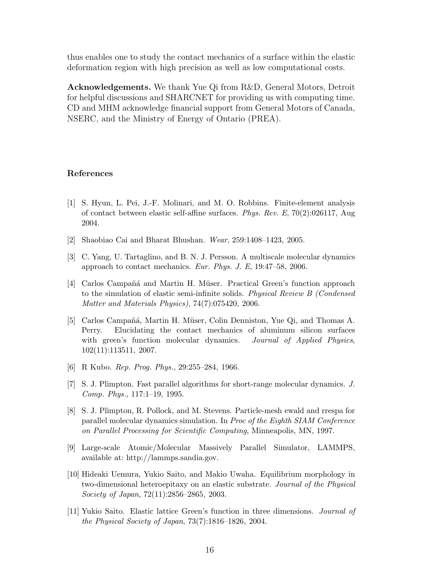thus enables one to study the contact mechanics of a surface within the elastic deformation region with high precision as well as low computational costs.

Acknowledgements. We thank Yue Qi from R&D, General Motors, Detroit for helpful discussions and SHARCNET for providing us with computing time. CD and MHM acknowledge financial support from General Motors of Canada, NSERC, and the Ministry of Energy of Ontario (PREA).

#### References

- [1] S. Hyun, L. Pei, J.-F. Molinari, and M. O. Robbins. Finite-element analysis of contact between elastic self-affine surfaces. *Phys. Rev. E*,  $70(2):026117$ , Aug 2004.
- [2] Shaobiao Cai and Bharat Bhushan. Wear, 259:1408–1423, 2005.
- [3] C. Yang, U. Tartaglino, and B. N. J. Persson. A multiscale molecular dynamics approach to contact mechanics. Eur. Phys. J. E,  $19:47-58$ ,  $2006$ .
- [4] Carlos Campañá and Martin H. Müser. Practical Green's function approach to the simulation of elastic semi-infinite solids. Physical Review B (Condensed Matter and Materials Physics), 74(7):075420, 2006.
- [5] Carlos Campañá, Martin H. Müser, Colin Denniston, Yue Qi, and Thomas A. Perry. Elucidating the contact mechanics of aluminum silicon surfaces with green's function molecular dynamics. Journal of Applied Physics, 102(11):113511, 2007.
- [6] R Kubo. *Rep. Prog. Phys.*, 29:255–284, 1966.
- [7] S. J. Plimpton. Fast parallel algorithms for short-range molecular dynamics. J. Comp. Phys., 117:1–19, 1995.
- [8] S. J. Plimpton, R. Pollock, and M. Stevens. Particle-mesh ewald and rrespa for parallel molecular dynamics simulation. In Proc of the Eighth SIAM Conference on Parallel Processing for Scientific Computing, Minneapolis, MN, 1997.
- [9] Large-scale Atomic/Molecular Massively Parallel Simulator, LAMMPS, available at: http://lammps.sandia.gov.
- [10] Hideaki Uemura, Yukio Saito, and Makio Uwaha. Equilibrium morphology in two-dimensional heteroepitaxy on an elastic substrate. Journal of the Physical Society of Japan, 72(11):2856–2865, 2003.
- [11] Yukio Saito. Elastic lattice Green's function in three dimensions. Journal of the Physical Society of Japan, 73(7):1816–1826, 2004.